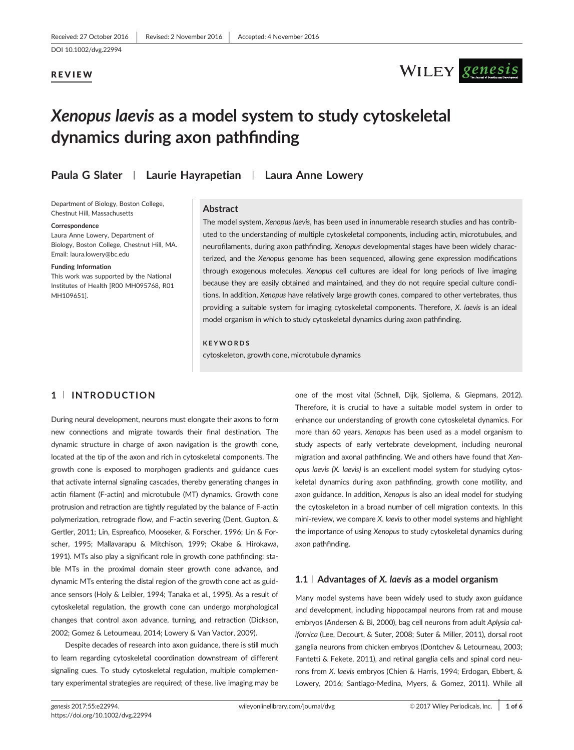DOI 10.1002/dvg.22994

## REVIEW

# WILEY genesis

## Xenopus laevis as a model system to study cytoskeletal dynamics during axon pathfinding

## Paula G Slater | Laurie Hayrapetian | Laura Anne Lowery

Department of Biology, Boston College, Chestnut Hill, Massachusetts

#### **Correspondence**

Laura Anne Lowery, Department of Biology, Boston College, Chestnut Hill, MA. Email: laura.lowery@bc.edu

#### Funding Information

This work was supported by the National Institutes of Health [R00 MH095768, R01 MH109651].

## **Abstract**

The model system, Xenopus laevis, has been used in innumerable research studies and has contributed to the understanding of multiple cytoskeletal components, including actin, microtubules, and neurofilaments, during axon pathfinding. Xenopus developmental stages have been widely characterized, and the Xenopus genome has been sequenced, allowing gene expression modifications through exogenous molecules. Xenopus cell cultures are ideal for long periods of live imaging because they are easily obtained and maintained, and they do not require special culture conditions. In addition, Xenopus have relatively large growth cones, compared to other vertebrates, thus providing a suitable system for imaging cytoskeletal components. Therefore, X. laevis is an ideal model organism in which to study cytoskeletal dynamics during axon pathfinding.

### KEYWORDS

cytoskeleton, growth cone, microtubule dynamics

## 1 <sup>|</sup> INTRODUCTION

During neural development, neurons must elongate their axons to form new connections and migrate towards their final destination. The dynamic structure in charge of axon navigation is the growth cone, located at the tip of the axon and rich in cytoskeletal components. The growth cone is exposed to morphogen gradients and guidance cues that activate internal signaling cascades, thereby generating changes in actin filament (F-actin) and microtubule (MT) dynamics. Growth cone protrusion and retraction are tightly regulated by the balance of F-actin polymerization, retrograde flow, and F-actin severing (Dent, Gupton, & Gertler, 2011; Lin, Espreafico, Mooseker, & Forscher, 1996; Lin & Forscher, 1995; Mallavarapu & Mitchison, 1999; Okabe & Hirokawa, 1991). MTs also play a significant role in growth cone pathfinding: stable MTs in the proximal domain steer growth cone advance, and dynamic MTs entering the distal region of the growth cone act as guidance sensors (Holy & Leibler, 1994; Tanaka et al., 1995). As a result of cytoskeletal regulation, the growth cone can undergo morphological changes that control axon advance, turning, and retraction (Dickson, 2002; Gomez & Letourneau, 2014; Lowery & Van Vactor, 2009).

Despite decades of research into axon guidance, there is still much to learn regarding cytoskeletal coordination downstream of different signaling cues. To study cytoskeletal regulation, multiple complementary experimental strategies are required; of these, live imaging may be

one of the most vital (Schnell, Dijk, Sjollema, & Giepmans, 2012). Therefore, it is crucial to have a suitable model system in order to enhance our understanding of growth cone cytoskeletal dynamics. For more than 60 years, Xenopus has been used as a model organism to study aspects of early vertebrate development, including neuronal migration and axonal pathfinding. We and others have found that Xenopus laevis (X. laevis) is an excellent model system for studying cytoskeletal dynamics during axon pathfinding, growth cone motility, and axon guidance. In addition, Xenopus is also an ideal model for studying the cytoskeleton in a broad number of cell migration contexts. In this mini-review, we compare X. laevis to other model systems and highlight the importance of using Xenopus to study cytoskeletal dynamics during axon pathfinding.

## 1.1 | Advantages of X. laevis as a model organism

Many model systems have been widely used to study axon guidance and development, including hippocampal neurons from rat and mouse embryos (Andersen & Bi, 2000), bag cell neurons from adult Aplysia californica (Lee, Decourt, & Suter, 2008; Suter & Miller, 2011), dorsal root ganglia neurons from chicken embryos (Dontchev & Letourneau, 2003; Fantetti & Fekete, 2011), and retinal ganglia cells and spinal cord neurons from X. laevis embryos (Chien & Harris, 1994; Erdogan, Ebbert, & Lowery, 2016; Santiago-Medina, Myers, & Gomez, 2011). While all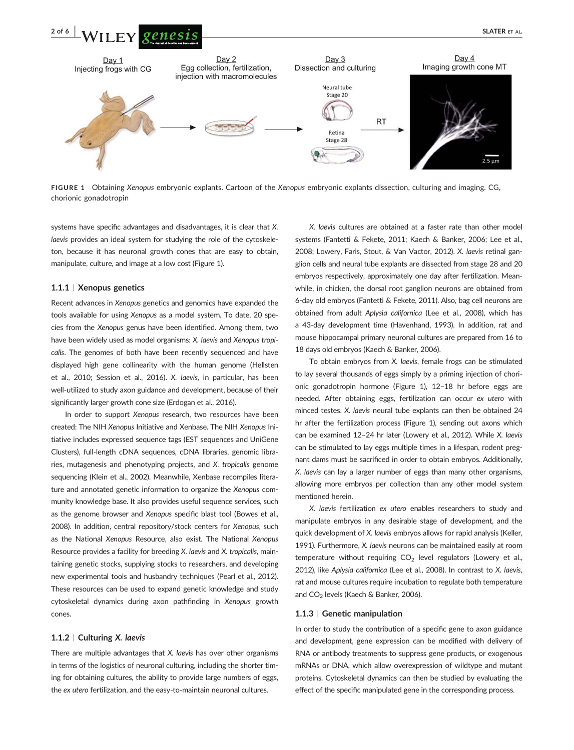

FIGURE 1 Obtaining Xenopus embryonic explants. Cartoon of the Xenopus embryonic explants dissection, culturing and imaging. CG, chorionic gonadotropin

systems have specific advantages and disadvantages, it is clear that X. laevis provides an ideal system for studying the role of the cytoskeleton, because it has neuronal growth cones that are easy to obtain, manipulate, culture, and image at a low cost (Figure 1).

## 1.1.1 <sup>|</sup> Xenopus genetics

Recent advances in Xenopus genetics and genomics have expanded the tools available for using Xenopus as a model system. To date, 20 species from the Xenopus genus have been identified. Among them, two have been widely used as model organisms: X. laevis and Xenopus tropicalis. The genomes of both have been recently sequenced and have displayed high gene collinearity with the human genome (Hellsten et al., 2010; Session et al., 2016). X. laevis, in particular, has been well-utilized to study axon guidance and development, because of their significantly larger growth cone size (Erdogan et al., 2016).

In order to support Xenopus research, two resources have been created: The NIH Xenopus Initiative and Xenbase. The NIH Xenopus Initiative includes expressed sequence tags (EST sequences and UniGene Clusters), full-length cDNA sequences, cDNA libraries, genomic libraries, mutagenesis and phenotyping projects, and X. tropicalis genome sequencing (Klein et al., 2002). Meanwhile, Xenbase recompiles literature and annotated genetic information to organize the Xenopus community knowledge base. It also provides useful sequence services, such as the genome browser and Xenopus specific blast tool (Bowes et al., 2008). In addition, central repository/stock centers for Xenopus, such as the National Xenopus Resource, also exist. The National Xenopus Resource provides a facility for breeding X. laevis and X. tropicalis, maintaining genetic stocks, supplying stocks to researchers, and developing new experimental tools and husbandry techniques (Pearl et al., 2012). These resources can be used to expand genetic knowledge and study cytoskeletal dynamics during axon pathfinding in Xenopus growth cones.

#### 1.1.2 <sup>|</sup> Culturing X. laevis

There are multiple advantages that X. laevis has over other organisms in terms of the logistics of neuronal culturing, including the shorter timing for obtaining cultures, the ability to provide large numbers of eggs, the ex utero fertilization, and the easy-to-maintain neuronal cultures.

X. laevis cultures are obtained at a faster rate than other model systems (Fantetti & Fekete, 2011; Kaech & Banker, 2006; Lee et al., 2008; Lowery, Faris, Stout, & Van Vactor, 2012). X. laevis retinal ganglion cells and neural tube explants are dissected from stage 28 and 20 embryos respectively, approximately one day after fertilization. Meanwhile, in chicken, the dorsal root ganglion neurons are obtained from 6-day old embryos (Fantetti & Fekete, 2011). Also, bag cell neurons are obtained from adult Aplysia californica (Lee et al., 2008), which has a 43-day development time (Havenhand, 1993). In addition, rat and mouse hippocampal primary neuronal cultures are prepared from 16 to 18 days old embryos (Kaech & Banker, 2006).

To obtain embryos from X. laevis, female frogs can be stimulated to lay several thousands of eggs simply by a priming injection of chorionic gonadotropin hormone (Figure 1), 12–18 hr before eggs are needed. After obtaining eggs, fertilization can occur ex utero with minced testes. X. laevis neural tube explants can then be obtained 24 hr after the fertilization process (Figure 1), sending out axons which can be examined 12–24 hr later (Lowery et al., 2012). While X. laevis can be stimulated to lay eggs multiple times in a lifespan, rodent pregnant dams must be sacrificed in order to obtain embryos. Additionally, X. laevis can lay a larger number of eggs than many other organisms, allowing more embryos per collection than any other model system mentioned herein.

X. laevis fertilization ex utero enables researchers to study and manipulate embryos in any desirable stage of development, and the quick development of X. laevis embryos allows for rapid analysis (Keller, 1991). Furthermore, X. laevis neurons can be maintained easily at room temperature without requiring  $CO<sub>2</sub>$  level regulators (Lowery et al., 2012), like Aplysia californica (Lee et al., 2008). In contrast to X. laevis, rat and mouse cultures require incubation to regulate both temperature and CO<sub>2</sub> levels (Kaech & Banker, 2006).

#### 1.1.3 <sup>|</sup> Genetic manipulation

In order to study the contribution of a specific gene to axon guidance and development, gene expression can be modified with delivery of RNA or antibody treatments to suppress gene products, or exogenous mRNAs or DNA, which allow overexpression of wildtype and mutant proteins. Cytoskeletal dynamics can then be studied by evaluating the effect of the specific manipulated gene in the corresponding process.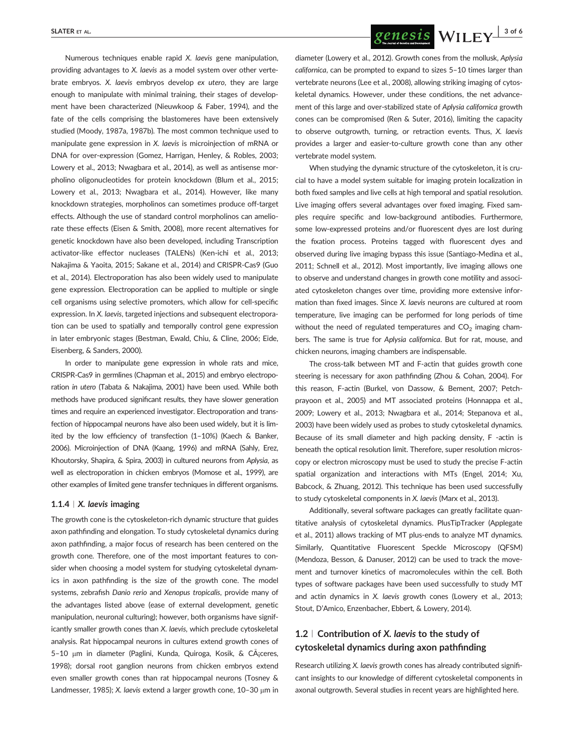Numerous techniques enable rapid X. laevis gene manipulation, providing advantages to X. laevis as a model system over other vertebrate embryos. X. laevis embryos develop ex utero, they are large enough to manipulate with minimal training, their stages of development have been characterized (Nieuwkoop & Faber, 1994), and the fate of the cells comprising the blastomeres have been extensively studied (Moody, 1987a, 1987b). The most common technique used to manipulate gene expression in X. laevis is microinjection of mRNA or DNA for over-expression (Gomez, Harrigan, Henley, & Robles, 2003; Lowery et al., 2013; Nwagbara et al., 2014), as well as antisense morpholino oligonucleotides for protein knockdown (Blum et al., 2015; Lowery et al., 2013; Nwagbara et al., 2014). However, like many knockdown strategies, morpholinos can sometimes produce off-target effects. Although the use of standard control morpholinos can ameliorate these effects (Eisen & Smith, 2008), more recent alternatives for genetic knockdown have also been developed, including Transcription activator-like effector nucleases (TALENs) (Ken-ichi et al., 2013; Nakajima & Yaoita, 2015; Sakane et al., 2014) and CRISPR-Cas9 (Guo et al., 2014). Electroporation has also been widely used to manipulate gene expression. Electroporation can be applied to multiple or single cell organisms using selective promoters, which allow for cell-specific expression. In X. laevis, targeted injections and subsequent electroporation can be used to spatially and temporally control gene expression in later embryonic stages (Bestman, Ewald, Chiu, & Cline, 2006; Eide, Eisenberg, & Sanders, 2000).

In order to manipulate gene expression in whole rats and mice, CRISPR-Cas9 in germlines (Chapman et al., 2015) and embryo electroporation in utero (Tabata & Nakajima, 2001) have been used. While both methods have produced significant results, they have slower generation times and require an experienced investigator. Electroporation and transfection of hippocampal neurons have also been used widely, but it is limited by the low efficiency of transfection (1–10%) (Kaech & Banker, 2006). Microinjection of DNA (Kaang, 1996) and mRNA (Sahly, Erez, Khoutorsky, Shapira, & Spira, 2003) in cultured neurons from Aplysia, as well as electroporation in chicken embryos (Momose et al., 1999), are other examples of limited gene transfer techniques in different organisms.

### 1.1.4 |  $X$ . laevis imaging

The growth cone is the cytoskeleton-rich dynamic structure that guides axon pathfinding and elongation. To study cytoskeletal dynamics during axon pathfinding, a major focus of research has been centered on the growth cone. Therefore, one of the most important features to consider when choosing a model system for studying cytoskeletal dynamics in axon pathfinding is the size of the growth cone. The model systems, zebrafish Danio rerio and Xenopus tropicalis, provide many of the advantages listed above (ease of external development, genetic manipulation, neuronal culturing); however, both organisms have significantly smaller growth cones than X. laevis, which preclude cytoskeletal analysis. Rat hippocampal neurons in cultures extend growth cones of 5-10 µm in diameter (Paglini, Kunda, Quiroga, Kosik, & CA¡ceres, 1998); dorsal root ganglion neurons from chicken embryos extend even smaller growth cones than rat hippocampal neurons (Tosney & Landmesser, 1985); X. laevis extend a larger growth cone,  $10-30 \mu m$  in

SLATER ET AL.  $\frac{\text{SLATER ET AL.}}{\text{SCLRESIS}}$   $\frac{\text{QCRESIS}}{\text{WILEY}}$   $\frac{1}{3}$  of 6

diameter (Lowery et al., 2012). Growth cones from the mollusk, Aplysia californica, can be prompted to expand to sizes 5–10 times larger than vertebrate neurons (Lee et al., 2008), allowing striking imaging of cytoskeletal dynamics. However, under these conditions, the net advancement of this large and over-stabilized state of Aplysia californica growth cones can be compromised (Ren & Suter, 2016), limiting the capacity to observe outgrowth, turning, or retraction events. Thus, X. laevis provides a larger and easier-to-culture growth cone than any other vertebrate model system.

When studying the dynamic structure of the cytoskeleton, it is crucial to have a model system suitable for imaging protein localization in both fixed samples and live cells at high temporal and spatial resolution. Live imaging offers several advantages over fixed imaging. Fixed samples require specific and low-background antibodies. Furthermore, some low-expressed proteins and/or fluorescent dyes are lost during the fixation process. Proteins tagged with fluorescent dyes and observed during live imaging bypass this issue (Santiago-Medina et al., 2011; Schnell et al., 2012). Most importantly, live imaging allows one to observe and understand changes in growth cone motility and associated cytoskeleton changes over time, providing more extensive information than fixed images. Since X. laevis neurons are cultured at room temperature, live imaging can be performed for long periods of time without the need of regulated temperatures and  $CO<sub>2</sub>$  imaging chambers. The same is true for Aplysia californica. But for rat, mouse, and chicken neurons, imaging chambers are indispensable.

The cross-talk between MT and F-actin that guides growth cone steering is necessary for axon pathfinding (Zhou & Cohan, 2004). For this reason, F-actin (Burkel, von Dassow, & Bement, 2007; Petchprayoon et al., 2005) and MT associated proteins (Honnappa et al., 2009; Lowery et al., 2013; Nwagbara et al., 2014; Stepanova et al., 2003) have been widely used as probes to study cytoskeletal dynamics. Because of its small diameter and high packing density, F -actin is beneath the optical resolution limit. Therefore, super resolution microscopy or electron microscopy must be used to study the precise F-actin spatial organization and interactions with MTs (Engel, 2014; Xu, Babcock, & Zhuang, 2012). This technique has been used successfully to study cytoskeletal components in X. laevis (Marx et al., 2013).

Additionally, several software packages can greatly facilitate quantitative analysis of cytoskeletal dynamics. PlusTipTracker (Applegate et al., 2011) allows tracking of MT plus-ends to analyze MT dynamics. Similarly, Quantitative Fluorescent Speckle Microscopy (QFSM) (Mendoza, Besson, & Danuser, 2012) can be used to track the movement and turnover kinetics of macromolecules within the cell. Both types of software packages have been used successfully to study MT and actin dynamics in X. laevis growth cones (Lowery et al., 2013; Stout, D'Amico, Enzenbacher, Ebbert, & Lowery, 2014).

## 1.2  $\mid$  Contribution of X. laevis to the study of cytoskeletal dynamics during axon pathfinding

Research utilizing X. laevis growth cones has already contributed significant insights to our knowledge of different cytoskeletal components in axonal outgrowth. Several studies in recent years are highlighted here.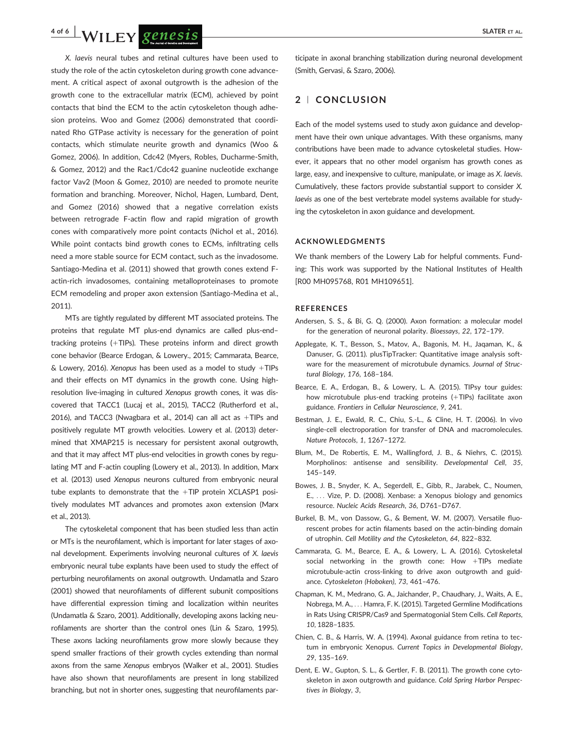

X. laevis neural tubes and retinal cultures have been used to study the role of the actin cytoskeleton during growth cone advancement. A critical aspect of axonal outgrowth is the adhesion of the growth cone to the extracellular matrix (ECM), achieved by point contacts that bind the ECM to the actin cytoskeleton though adhesion proteins. Woo and Gomez (2006) demonstrated that coordinated Rho GTPase activity is necessary for the generation of point contacts, which stimulate neurite growth and dynamics (Woo & Gomez, 2006). In addition, Cdc42 (Myers, Robles, Ducharme-Smith, & Gomez, 2012) and the Rac1/Cdc42 guanine nucleotide exchange factor Vav2 (Moon & Gomez, 2010) are needed to promote neurite formation and branching. Moreover, Nichol, Hagen, Lumbard, Dent, and Gomez (2016) showed that a negative correlation exists between retrograde F-actin flow and rapid migration of growth cones with comparatively more point contacts (Nichol et al., 2016). While point contacts bind growth cones to ECMs, infiltrating cells need a more stable source for ECM contact, such as the invadosome. Santiago-Medina et al. (2011) showed that growth cones extend Factin-rich invadosomes, containing metalloproteinases to promote ECM remodeling and proper axon extension (Santiago-Medina et al., 2011).

MTs are tightly regulated by different MT associated proteins. The proteins that regulate MT plus-end dynamics are called plus-end– tracking proteins  $(+TIPS)$ . These proteins inform and direct growth cone behavior (Bearce Erdogan, & Lowery., 2015; Cammarata, Bearce,  $&$  Lowery, 2016). Xenopus has been used as a model to study +TIPs and their effects on MT dynamics in the growth cone. Using highresolution live-imaging in cultured Xenopus growth cones, it was discovered that TACC1 (Lucaj et al., 2015), TACC2 (Rutherford et al., 2016), and TACC3 (Nwagbara et al., 2014) can all act as  $+TIPs$  and positively regulate MT growth velocities. Lowery et al. (2013) determined that XMAP215 is necessary for persistent axonal outgrowth, and that it may affect MT plus-end velocities in growth cones by regulating MT and F-actin coupling (Lowery et al., 2013). In addition, Marx et al. (2013) used Xenopus neurons cultured from embryonic neural tube explants to demonstrate that the  $+TIP$  protein XCLASP1 positively modulates MT advances and promotes axon extension (Marx et al., 2013).

The cytoskeletal component that has been studied less than actin or MTs is the neurofilament, which is important for later stages of axonal development. Experiments involving neuronal cultures of X. laevis embryonic neural tube explants have been used to study the effect of perturbing neurofilaments on axonal outgrowth. Undamatla and Szaro (2001) showed that neurofilaments of different subunit compositions have differential expression timing and localization within neurites (Undamatla & Szaro, 2001). Additionally, developing axons lacking neurofilaments are shorter than the control ones (Lin & Szaro, 1995). These axons lacking neurofilaments grow more slowly because they spend smaller fractions of their growth cycles extending than normal axons from the same Xenopus embryos (Walker et al., 2001). Studies have also shown that neurofilaments are present in long stabilized branching, but not in shorter ones, suggesting that neurofilaments participate in axonal branching stabilization during neuronal development (Smith, Gervasi, & Szaro, 2006).

## 2 <sup>|</sup> CONCLUSION

Each of the model systems used to study axon guidance and development have their own unique advantages. With these organisms, many contributions have been made to advance cytoskeletal studies. However, it appears that no other model organism has growth cones as large, easy, and inexpensive to culture, manipulate, or image as X. laevis. Cumulatively, these factors provide substantial support to consider X. laevis as one of the best vertebrate model systems available for studying the cytoskeleton in axon guidance and development.

#### ACKNOWLEDGMENTS

We thank members of the Lowery Lab for helpful comments. Funding: This work was supported by the National Institutes of Health [R00 MH095768, R01 MH109651].

#### **REFERENCES**

- Andersen, S. S., & Bi, G. Q. (2000). Axon formation: a molecular model for the generation of neuronal polarity. Bioessays, 22, 172–179.
- Applegate, K. T., Besson, S., Matov, A., Bagonis, M. H., Jaqaman, K., & Danuser, G. (2011). plusTipTracker: Quantitative image analysis software for the measurement of microtubule dynamics. Journal of Structural Biology, 176, 168–184.
- Bearce, E. A., Erdogan, B., & Lowery, L. A. (2015). TIPsy tour guides: how microtubule plus-end tracking proteins (+TIPs) facilitate axon guidance. Frontiers in Cellular Neuroscience, 9, 241.
- Bestman, J. E., Ewald, R. C., Chiu, S.-L., & Cline, H. T. (2006). In vivo single-cell electroporation for transfer of DNA and macromolecules. Nature Protocols, 1, 1267–1272.
- Blum, M., De Robertis, E. M., Wallingford, J. B., & Niehrs, C. (2015). Morpholinos: antisense and sensibility. Developmental Cell, 35, 145–149.
- Bowes, J. B., Snyder, K. A., Segerdell, E., Gibb, R., Jarabek, C., Noumen, E., ... Vize, P. D. (2008). Xenbase: a Xenopus biology and genomics resource. Nucleic Acids Research, 36, D761–D767.
- Burkel, B. M., von Dassow, G., & Bement, W. M. (2007). Versatile fluorescent probes for actin filaments based on the actin-binding domain of utrophin. Cell Motility and the Cytoskeleton, 64, 822–832.
- Cammarata, G. M., Bearce, E. A., & Lowery, L. A. (2016). Cytoskeletal social networking in the growth cone: How  $+TIPs$  mediate microtubule-actin cross-linking to drive axon outgrowth and guidance. Cytoskeleton (Hoboken), 73, 461–476.
- Chapman, K. M., Medrano, G. A., Jaichander, P., Chaudhary, J., Waits, A. E., Nobrega, M. A., ... Hamra, F. K. (2015). Targeted Germline Modifications in Rats Using CRISPR/Cas9 and Spermatogonial Stem Cells. Cell Reports, 10, 1828–1835.
- Chien, C. B., & Harris, W. A. (1994). Axonal guidance from retina to tectum in embryonic Xenopus. Current Topics in Developmental Biology, 29, 135–169.
- Dent, E. W., Gupton, S. L., & Gertler, F. B. (2011). The growth cone cytoskeleton in axon outgrowth and guidance. Cold Spring Harbor Perspectives in Biology, 3,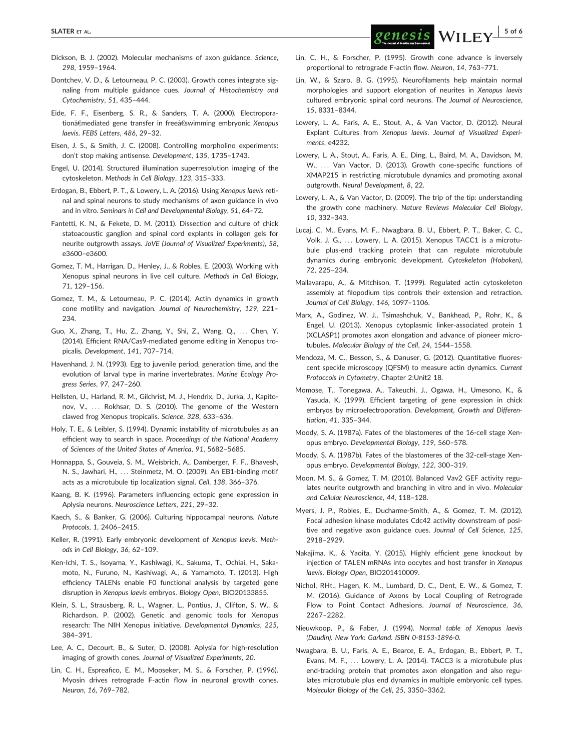- Dickson, B. J. (2002). Molecular mechanisms of axon guidance. Science, 298, 1959–1964.
- Dontchev, V. D., & Letourneau, P. C. (2003). Growth cones integrate signaling from multiple guidance cues. Journal of Histochemistry and Cytochemistry, 51, 435–444.
- Eide, F. F., Eisenberg, S. R., & Sanders, T. A. (2000). Electroporationâ€mediated gene transfer in freeâ€swimming embryonic Xenopus laevis. FEBS Letters, 486, 29–32.
- Eisen, J. S., & Smith, J. C. (2008). Controlling morpholino experiments: don't stop making antisense. Development, 135, 1735–1743.
- Engel, U. (2014). Structured illumination superresolution imaging of the cytoskeleton. Methods in Cell Biology, 123, 315–333.
- Erdogan, B., Ebbert, P. T., & Lowery, L. A. (2016). Using Xenopus laevis retinal and spinal neurons to study mechanisms of axon guidance in vivo and in vitro. Seminars in Cell and Developmental Biology, 51, 64–72.
- Fantetti, K. N., & Fekete, D. M. (2011). Dissection and culture of chick statoacoustic ganglion and spinal cord explants in collagen gels for neurite outgrowth assays. JoVE (Journal of Visualized Experiments), 58, e3600–e3600.
- Gomez, T. M., Harrigan, D., Henley, J., & Robles, E. (2003). Working with Xenopus spinal neurons in live cell culture. Methods in Cell Biology, 71, 129–156.
- Gomez, T. M., & Letourneau, P. C. (2014). Actin dynamics in growth cone motility and navigation. Journal of Neurochemistry, 129, 221– 234.
- Guo, X., Zhang, T., Hu, Z., Zhang, Y., Shi, Z., Wang, Q., ... Chen, Y. (2014). Efficient RNA/Cas9-mediated genome editing in Xenopus tropicalis. Development, 141, 707–714.
- Havenhand, J. N. (1993). Egg to juvenile period, generation time, and the evolution of larval type in marine invertebrates. Marine Ecology Progress Series, 97, 247–260.
- Hellsten, U., Harland, R. M., Gilchrist, M. J., Hendrix, D., Jurka, J., Kapitonov, V., ... Rokhsar, D. S. (2010). The genome of the Western clawed frog Xenopus tropicalis. Science, 328, 633–636.
- Holy, T. E., & Leibler, S. (1994). Dynamic instability of microtubules as an efficient way to search in space. Proceedings of the National Academy of Sciences of the United States of America, 91, 5682–5685.
- Honnappa, S., Gouveia, S. M., Weisbrich, A., Damberger, F. F., Bhavesh, N. S., Jawhari, H., ... Steinmetz, M. O. (2009). An EB1-binding motif acts as a microtubule tip localization signal. Cell, 138, 366–376.
- Kaang, B. K. (1996). Parameters influencing ectopic gene expression in Aplysia neurons. Neuroscience Letters, 221, 29–32.
- Kaech, S., & Banker, G. (2006). Culturing hippocampal neurons. Nature Protocols, 1, 2406–2415.
- Keller, R. (1991). Early embryonic development of Xenopus laevis. Methods in Cell Biology, 36, 62–109.
- Ken-Ichi, T. S., Isoyama, Y., Kashiwagi, K., Sakuma, T., Ochiai, H., Sakamoto, N., Furuno, N., Kashiwagi, A., & Yamamoto, T. (2013). High efficiency TALENs enable F0 functional analysis by targeted gene disruption in Xenopus laevis embryos. Biology Open, BIO20133855.
- Klein, S. L., Strausberg, R. L., Wagner, L., Pontius, J., Clifton, S. W., & Richardson, P. (2002). Genetic and genomic tools for Xenopus research: The NIH Xenopus initiative. Developmental Dynamics, 225, 384–391.
- Lee, A. C., Decourt, B., & Suter, D. (2008). Aplysia for high-resolution imaging of growth cones. Journal of Visualized Experiments, 20.
- Lin, C. H., Espreafico, E. M., Mooseker, M. S., & Forscher, P. (1996). Myosin drives retrograde F-actin flow in neuronal growth cones. Neuron, 16, 769–782.
- Lin, C. H., & Forscher, P. (1995). Growth cone advance is inversely proportional to retrograde F-actin flow. Neuron, 14, 763–771.
- Lin, W., & Szaro, B. G. (1995). Neurofilaments help maintain normal morphologies and support elongation of neurites in Xenopus laevis cultured embryonic spinal cord neurons. The Journal of Neuroscience, 15, 8331–8344.
- Lowery, L. A., Faris, A. E., Stout, A., & Van Vactor, D. (2012). Neural Explant Cultures from Xenopus laevis. Journal of Visualized Experiments, e4232.
- Lowery, L. A., Stout, A., Faris, A. E., Ding, L., Baird, M. A., Davidson, M. W., ... Van Vactor, D. (2013). Growth cone-specific functions of XMAP215 in restricting microtubule dynamics and promoting axonal outgrowth. Neural Development, 8, 22.
- Lowery, L. A., & Van Vactor, D. (2009). The trip of the tip: understanding the growth cone machinery. Nature Reviews Molecular Cell Biology, 10, 332–343.
- Lucaj, C. M., Evans, M. F., Nwagbara, B. U., Ebbert, P. T., Baker, C. C., Volk, J. G., ... Lowery, L. A. (2015). Xenopus TACC1 is a microtubule plus-end tracking protein that can regulate microtubule dynamics during embryonic development. Cytoskeleton (Hoboken), 72, 225–234.
- Mallavarapu, A., & Mitchison, T. (1999). Regulated actin cytoskeleton assembly at filopodium tips controls their extension and retraction. Journal of Cell Biology, 146, 1097–1106.
- Marx, A., Godinez, W. J., Tsimashchuk, V., Bankhead, P., Rohr, K., & Engel, U. (2013). Xenopus cytoplasmic linker-associated protein 1 (XCLASP1) promotes axon elongation and advance of pioneer microtubules. Molecular Biology of the Cell, 24, 1544–1558.
- Mendoza, M. C., Besson, S., & Danuser, G. (2012). Quantitative fluorescent speckle microscopy (QFSM) to measure actin dynamics. Current Protoccols in Cytometry, Chapter 2:Unit2 18.
- Momose, T., Tonegawa, A., Takeuchi, J., Ogawa, H., Umesono, K., & Yasuda, K. (1999). Efficient targeting of gene expression in chick embryos by microelectroporation. Development, Growth and Differentiation, 41, 335–344.
- Moody, S. A. (1987a). Fates of the blastomeres of the 16-cell stage Xenopus embryo. Developmental Biology, 119, 560–578.
- Moody, S. A. (1987b). Fates of the blastomeres of the 32-cell-stage Xenopus embryo. Developmental Biology, 122, 300–319.
- Moon, M. S., & Gomez, T. M. (2010). Balanced Vav2 GEF activity regulates neurite outgrowth and branching in vitro and in vivo. Molecular and Cellular Neuroscience, 44, 118–128.
- Myers, J. P., Robles, E., Ducharme-Smith, A., & Gomez, T. M. (2012). Focal adhesion kinase modulates Cdc42 activity downstream of positive and negative axon guidance cues. Journal of Cell Science, 125, 2918–2929.
- Nakajima, K., & Yaoita, Y. (2015). Highly efficient gene knockout by injection of TALEN mRNAs into oocytes and host transfer in Xenopus laevis. Biology Open, BIO201410009.
- Nichol, RHt., Hagen, K. M., Lumbard, D. C., Dent, E. W., & Gomez, T. M. (2016). Guidance of Axons by Local Coupling of Retrograde Flow to Point Contact Adhesions. Journal of Neuroscience, 36, 2267–2282.
- Nieuwkoop, P., & Faber, J. (1994). Normal table of Xenopus laevis (Daudin). New York: Garland. ISBN 0-8153-1896-0.
- Nwagbara, B. U., Faris, A. E., Bearce, E. A., Erdogan, B., Ebbert, P. T., Evans, M. F., ... Lowery, L. A. (2014). TACC3 is a microtubule plus end-tracking protein that promotes axon elongation and also regulates microtubule plus end dynamics in multiple embryonic cell types. Molecular Biology of the Cell, 25, 3350–3362.